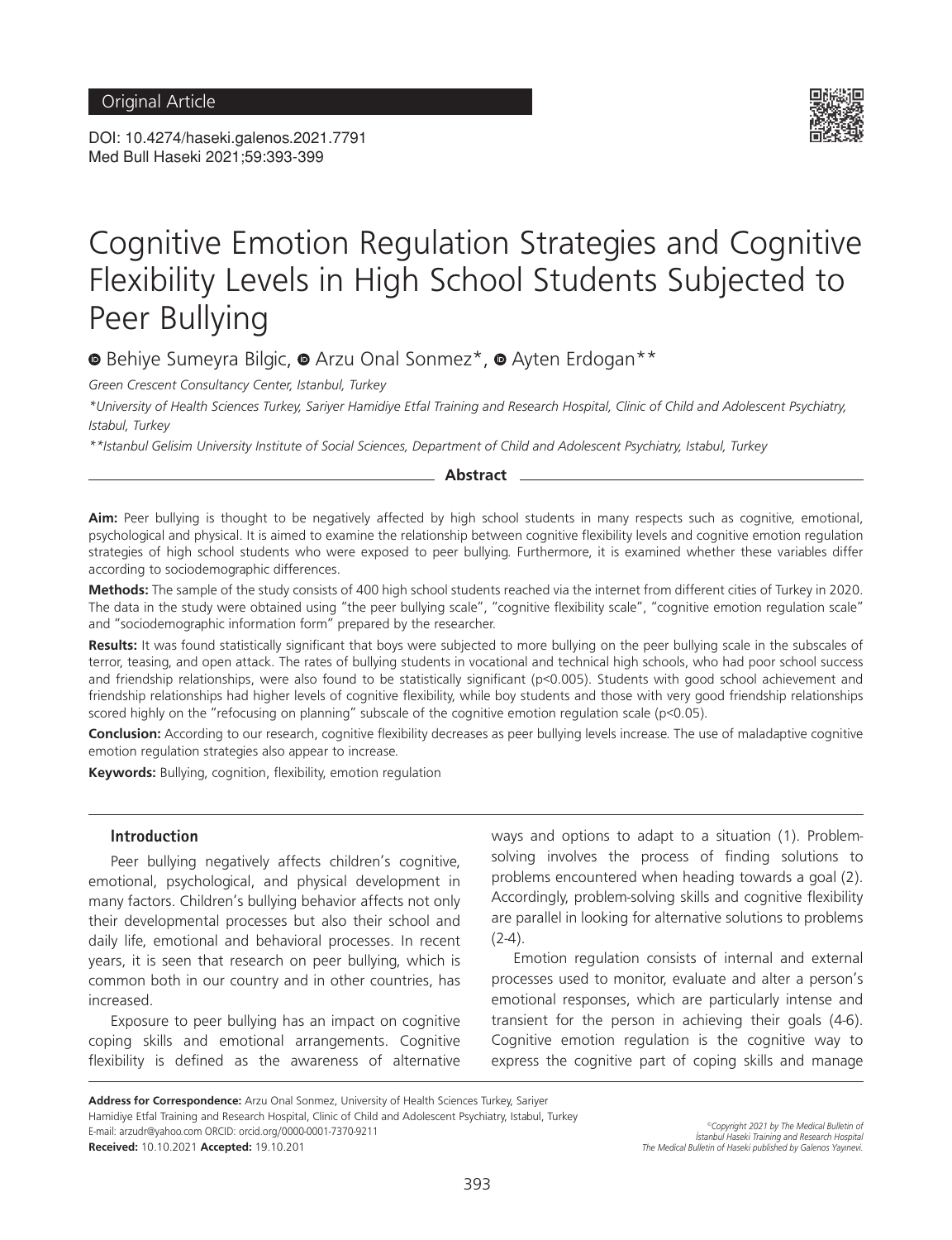DOI: 10.4274/haseki.galenos.2021.7791 Med Bull Haseki 2021;59:393-399



# Cognitive Emotion Regulation Strategies and Cognitive Flexibility Levels in High School Students Subjected to Peer Bullying

<sup>■</sup>Behiye Sumeyra Bilgic, ■ Arzu Onal Sonmez<sup>\*</sup>, ■ Ayten Erdogan<sup>\*\*</sup>

*Green Crescent Consultancy Center, Istanbul, Turkey*

*\*University of Health Sciences Turkey, Sariyer Hamidiye Etfal Training and Research Hospital, Clinic of Child and Adolescent Psychiatry, Istabul, Turkey*

*\*\*Istanbul Gelisim University Institute of Social Sciences, Department of Child and Adolescent Psychiatry, Istabul, Turkey*

#### **Abstract**

**Aim:** Peer bullying is thought to be negatively affected by high school students in many respects such as cognitive, emotional, psychological and physical. It is aimed to examine the relationship between cognitive flexibility levels and cognitive emotion regulation strategies of high school students who were exposed to peer bullying. Furthermore, it is examined whether these variables differ according to sociodemographic differences.

**Methods:** The sample of the study consists of 400 high school students reached via the internet from different cities of Turkey in 2020. The data in the study were obtained using "the peer bullying scale", "cognitive flexibility scale", "cognitive emotion regulation scale" and "sociodemographic information form" prepared by the researcher.

**Results:** It was found statistically significant that boys were subjected to more bullying on the peer bullying scale in the subscales of terror, teasing, and open attack. The rates of bullying students in vocational and technical high schools, who had poor school success and friendship relationships, were also found to be statistically significant (p<0.005). Students with good school achievement and friendship relationships had higher levels of cognitive flexibility, while boy students and those with very good friendship relationships scored highly on the "refocusing on planning" subscale of the cognitive emotion regulation scale (p<0.05).

**Conclusion:** According to our research, cognitive flexibility decreases as peer bullying levels increase. The use of maladaptive cognitive emotion regulation strategies also appear to increase.

**Keywords:** Bullying, cognition, flexibility, emotion regulation

#### **Introduction**

Peer bullying negatively affects children's cognitive, emotional, psychological, and physical development in many factors. Children's bullying behavior affects not only their developmental processes but also their school and daily life, emotional and behavioral processes. In recent years, it is seen that research on peer bullying, which is common both in our country and in other countries, has increased.

Exposure to peer bullying has an impact on cognitive coping skills and emotional arrangements. Cognitive flexibility is defined as the awareness of alternative ways and options to adapt to a situation (1). Problemsolving involves the process of finding solutions to problems encountered when heading towards a goal (2). Accordingly, problem-solving skills and cognitive flexibility are parallel in looking for alternative solutions to problems  $(2-4).$ 

Emotion regulation consists of internal and external processes used to monitor, evaluate and alter a person's emotional responses, which are particularly intense and transient for the person in achieving their goals (4-6). Cognitive emotion regulation is the cognitive way to express the cognitive part of coping skills and manage

**Address for Correspondence:** Arzu Onal Sonmez, University of Health Sciences Turkey, Sariyer

Hamidiye Etfal Training and Research Hospital, Clinic of Child and Adolescent Psychiatry, Istabul, Turkey E-mail: arzudr@yahoo.com ORCID: orcid.org/0000-0001-7370-9211

**Received:** 10.10.2021 **Accepted:** 19.10.201

*©Copyright 2021 by The Medical Bulletin of İstanbul Haseki Training and Research Hospital The Medical Bulletin of Haseki published by Galenos Yayınevi.*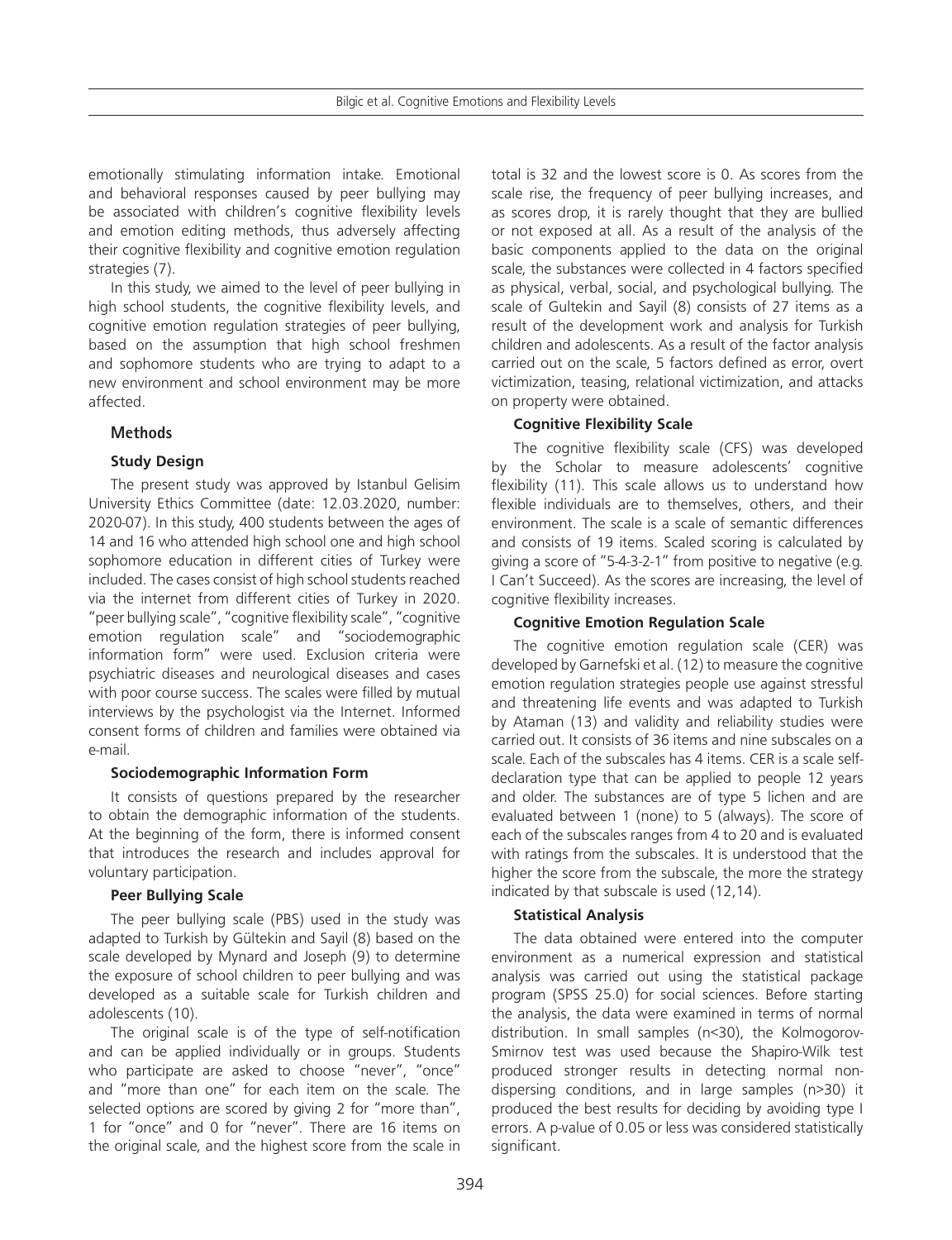emotionally stimulating information intake. Emotional and behavioral responses caused by peer bullying may be associated with children's cognitive flexibility levels and emotion editing methods, thus adversely affecting their cognitive flexibility and cognitive emotion regulation strategies (7).

In this study, we aimed to the level of peer bullying in high school students, the cognitive flexibility levels, and cognitive emotion regulation strategies of peer bullying, based on the assumption that high school freshmen and sophomore students who are trying to adapt to a new environment and school environment may be more affected.

# **Methods**

# **Study Design**

The present study was approved by Istanbul Gelisim University Ethics Committee (date: 12.03.2020, number: 2020-07). In this study, 400 students between the ages of 14 and 16 who attended high school one and high school sophomore education in different cities of Turkey were included. The cases consist of high school students reached via the internet from different cities of Turkey in 2020. "peer bullying scale", "cognitive flexibility scale", "cognitive emotion regulation scale" and "sociodemographic information form" were used. Exclusion criteria were psychiatric diseases and neurological diseases and cases with poor course success. The scales were filled by mutual interviews by the psychologist via the Internet. Informed consent forms of children and families were obtained via e-mail.

## **Sociodemographic Information Form**

It consists of questions prepared by the researcher to obtain the demographic information of the students. At the beginning of the form, there is informed consent that introduces the research and includes approval for voluntary participation.

## **Peer Bullying Scale**

The peer bullying scale (PBS) used in the study was adapted to Turkish by Gültekin and Sayil (8) based on the scale developed by Mynard and Joseph (9) to determine the exposure of school children to peer bullying and was developed as a suitable scale for Turkish children and adolescents (10).

The original scale is of the type of self-notification and can be applied individually or in groups. Students who participate are asked to choose "never", "once" and "more than one" for each item on the scale. The selected options are scored by giving 2 for "more than", 1 for "once" and 0 for "never". There are 16 items on the original scale, and the highest score from the scale in

total is 32 and the lowest score is 0. As scores from the scale rise, the frequency of peer bullying increases, and as scores drop, it is rarely thought that they are bullied or not exposed at all. As a result of the analysis of the basic components applied to the data on the original scale, the substances were collected in 4 factors specified as physical, verbal, social, and psychological bullying. The scale of Gultekin and Sayil (8) consists of 27 items as a result of the development work and analysis for Turkish children and adolescents. As a result of the factor analysis carried out on the scale, 5 factors defined as error, overt victimization, teasing, relational victimization, and attacks on property were obtained.

# **Cognitive Flexibility Scale**

The cognitive flexibility scale (CFS) was developed by the Scholar to measure adolescents' cognitive flexibility (11). This scale allows us to understand how flexible individuals are to themselves, others, and their environment. The scale is a scale of semantic differences and consists of 19 items. Scaled scoring is calculated by giving a score of "5-4-3-2-1" from positive to negative (e.g. I Can't Succeed). As the scores are increasing, the level of cognitive flexibility increases.

# **Cognitive Emotion Regulation Scale**

The cognitive emotion regulation scale (CER) was developed by Garnefski et al. (12) to measure the cognitive emotion regulation strategies people use against stressful and threatening life events and was adapted to Turkish by Ataman (13) and validity and reliability studies were carried out. It consists of 36 items and nine subscales on a scale. Each of the subscales has 4 items. CER is a scale selfdeclaration type that can be applied to people 12 years and older. The substances are of type 5 lichen and are evaluated between 1 (none) to 5 (always). The score of each of the subscales ranges from 4 to 20 and is evaluated with ratings from the subscales. It is understood that the higher the score from the subscale, the more the strategy indicated by that subscale is used (12,14).

## **Statistical Analysis**

The data obtained were entered into the computer environment as a numerical expression and statistical analysis was carried out using the statistical package program (SPSS 25.0) for social sciences. Before starting the analysis, the data were examined in terms of normal distribution. In small samples (n<30), the Kolmogorov-Smirnov test was used because the Shapiro-Wilk test produced stronger results in detecting normal nondispersing conditions, and in large samples (n>30) it produced the best results for deciding by avoiding type I errors. A p-value of 0.05 or less was considered statistically significant.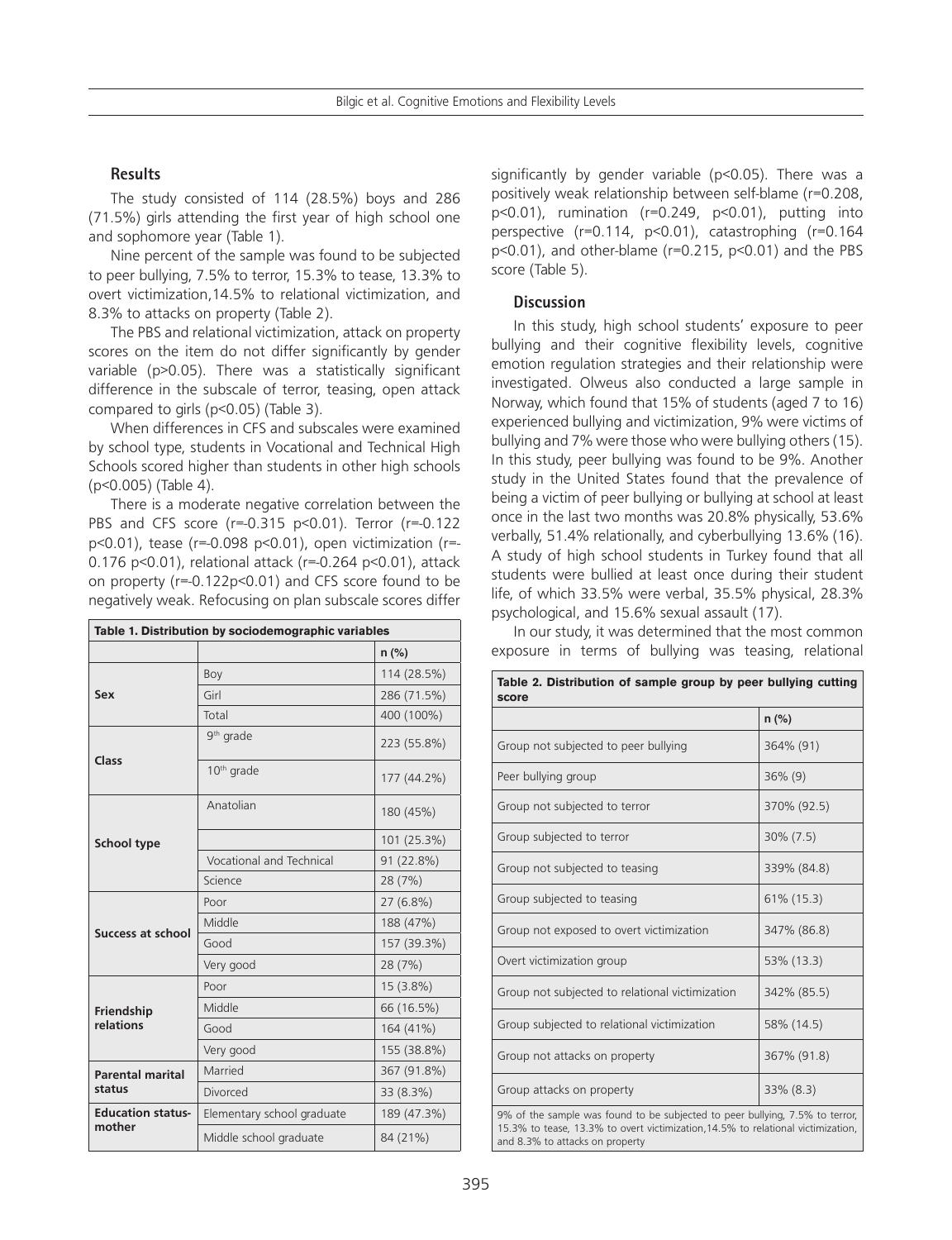## **Results**

The study consisted of 114 (28.5%) boys and 286 (71.5%) girls attending the first year of high school one and sophomore year (Table 1).

Nine percent of the sample was found to be subjected to peer bullying, 7.5% to terror, 15.3% to tease, 13.3% to overt victimization,14.5% to relational victimization, and 8.3% to attacks on property (Table 2).

The PBS and relational victimization, attack on property scores on the item do not differ significantly by gender variable (p>0.05). There was a statistically significant difference in the subscale of terror, teasing, open attack compared to girls (p<0.05) (Table 3).

When differences in CFS and subscales were examined by school type, students in Vocational and Technical High Schools scored higher than students in other high schools (p<0.005) (Table 4).

There is a moderate negative correlation between the PBS and CFS score (r=-0.315 p<0.01). Terror (r=-0.122 p<0.01), tease (r=-0.098 p<0.01), open victimization (r=- 0.176 p<0.01), relational attack (r=-0.264 p<0.01), attack on property (r=-0.122p<0.01) and CFS score found to be negatively weak. Refocusing on plan subscale scores differ

| Table 1. Distribution by sociodemographic variables |                            |             |  |  |  |
|-----------------------------------------------------|----------------------------|-------------|--|--|--|
|                                                     |                            | $n$ (%)     |  |  |  |
|                                                     | Boy                        | 114 (28.5%) |  |  |  |
| Sex                                                 | Girl                       | 286 (71.5%) |  |  |  |
|                                                     | Total                      | 400 (100%)  |  |  |  |
|                                                     | 9 <sup>th</sup> grade      | 223 (55.8%) |  |  |  |
| Class                                               | 10 <sup>th</sup> grade     | 177 (44.2%) |  |  |  |
|                                                     | Anatolian                  | 180 (45%)   |  |  |  |
| <b>School type</b>                                  |                            | 101 (25.3%) |  |  |  |
|                                                     | Vocational and Technical   | 91 (22.8%)  |  |  |  |
|                                                     | Science                    | 28 (7%)     |  |  |  |
| Success at school                                   | Poor                       | 27 (6.8%)   |  |  |  |
|                                                     | Middle                     | 188 (47%)   |  |  |  |
|                                                     | Good                       | 157 (39.3%) |  |  |  |
|                                                     | Very good                  | 28 (7%)     |  |  |  |
|                                                     | Poor                       | 15 (3.8%)   |  |  |  |
| Friendship                                          | Middle                     | 66 (16.5%)  |  |  |  |
| relations                                           | Good                       | 164 (41%)   |  |  |  |
|                                                     | Very good                  | 155 (38.8%) |  |  |  |
| <b>Parental marital</b>                             | Married                    | 367 (91.8%) |  |  |  |
| status                                              | Divorced                   | 33 (8.3%)   |  |  |  |
| <b>Education status-</b>                            | Elementary school graduate | 189 (47.3%) |  |  |  |
| mother                                              | Middle school graduate     | 84 (21%)    |  |  |  |

significantly by gender variable (p<0.05). There was a positively weak relationship between self-blame (r=0.208, p<0.01), rumination (r=0.249, p<0.01), putting into perspective (r=0.114, p<0.01), catastrophing (r=0.164  $p<0.01$ ), and other-blame ( $r=0.215$ ,  $p<0.01$ ) and the PBS score (Table 5).

#### **Discussion**

In this study, high school students' exposure to peer bullying and their cognitive flexibility levels, cognitive emotion regulation strategies and their relationship were investigated. Olweus also conducted a large sample in Norway, which found that 15% of students (aged 7 to 16) experienced bullying and victimization, 9% were victims of bullying and 7% were those who were bullying others (15). In this study, peer bullying was found to be 9%. Another study in the United States found that the prevalence of being a victim of peer bullying or bullying at school at least once in the last two months was 20.8% physically, 53.6% verbally, 51.4% relationally, and cyberbullying 13.6% (16). A study of high school students in Turkey found that all students were bullied at least once during their student life, of which 33.5% were verbal, 35.5% physical, 28.3% psychological, and 15.6% sexual assault (17).

In our study, it was determined that the most common exposure in terms of bullying was teasing, relational

| Table 2. Distribution of sample group by peer bullying cutting<br>score                                                                                                                             |              |  |  |  |  |  |
|-----------------------------------------------------------------------------------------------------------------------------------------------------------------------------------------------------|--------------|--|--|--|--|--|
|                                                                                                                                                                                                     | $n$ (%)      |  |  |  |  |  |
| Group not subjected to peer bullying                                                                                                                                                                | 364% (91)    |  |  |  |  |  |
| Peer bullying group                                                                                                                                                                                 | $36\%$ (9)   |  |  |  |  |  |
| Group not subjected to terror                                                                                                                                                                       | 370% (92.5)  |  |  |  |  |  |
| Group subjected to terror                                                                                                                                                                           | $30\% (7.5)$ |  |  |  |  |  |
| Group not subjected to teasing                                                                                                                                                                      | 339% (84.8)  |  |  |  |  |  |
| Group subjected to teasing                                                                                                                                                                          | 61% (15.3)   |  |  |  |  |  |
| Group not exposed to overt victimization                                                                                                                                                            | 347% (86.8)  |  |  |  |  |  |
| Overt victimization group                                                                                                                                                                           | 53% (13.3)   |  |  |  |  |  |
| Group not subjected to relational victimization                                                                                                                                                     | 342% (85.5)  |  |  |  |  |  |
| Group subjected to relational victimization                                                                                                                                                         | 58% (14.5)   |  |  |  |  |  |
| Group not attacks on property                                                                                                                                                                       | 367% (91.8)  |  |  |  |  |  |
| Group attacks on property                                                                                                                                                                           | 33% (8.3)    |  |  |  |  |  |
| 9% of the sample was found to be subjected to peer bullying, 7.5% to terror,<br>15.3% to tease, 13.3% to overt victimization, 14.5% to relational victimization,<br>and 8.3% to attacks on property |              |  |  |  |  |  |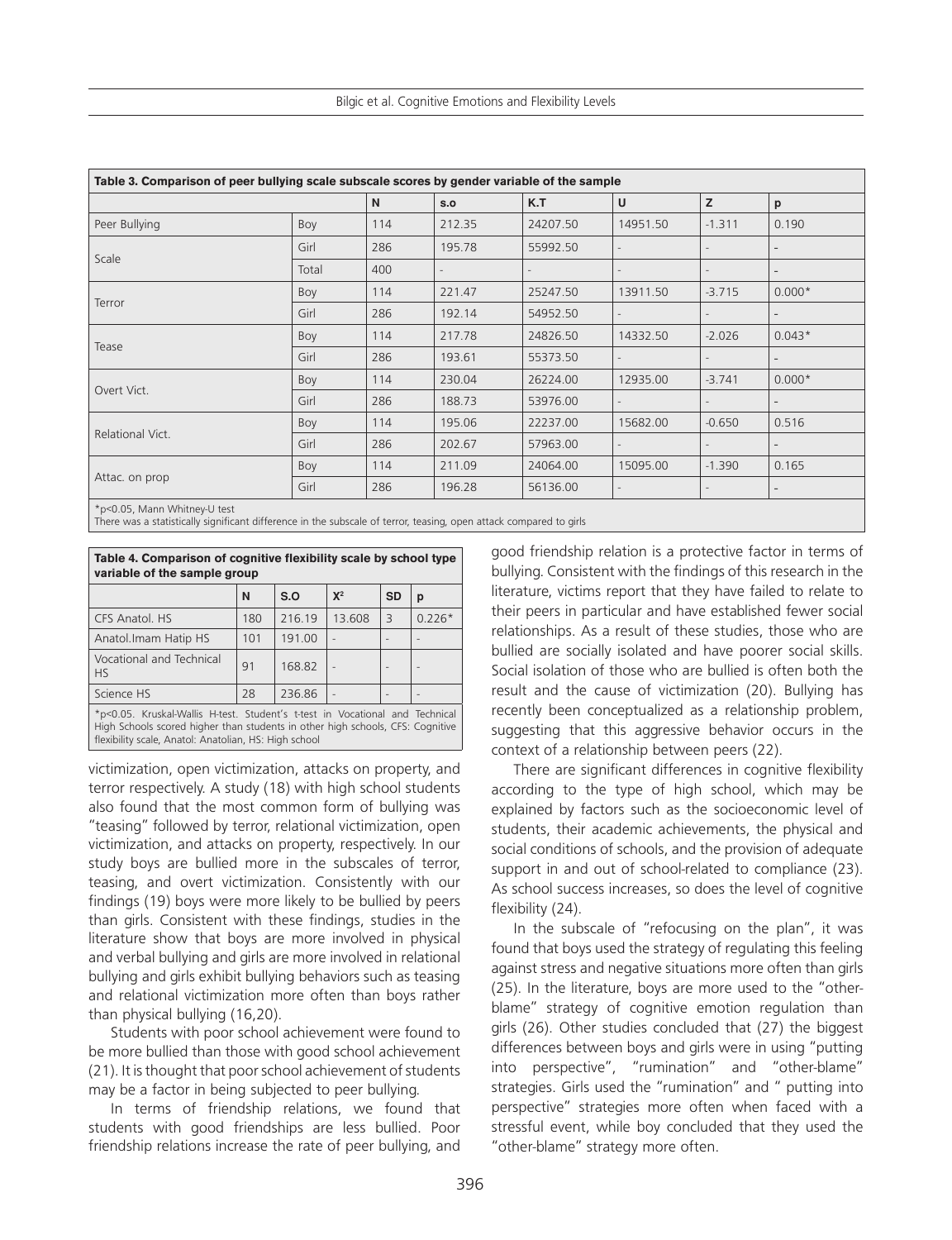| Table 3. Comparison of peer bullying scale subscale scores by gender variable of the sample |          |                          |                          |                          |          |          |                          |  |
|---------------------------------------------------------------------------------------------|----------|--------------------------|--------------------------|--------------------------|----------|----------|--------------------------|--|
|                                                                                             |          | N.                       | S.O                      | K.T                      | U        | z        | p                        |  |
| Peer Bullying                                                                               | Boy      | 114                      | 212.35                   | 24207.50                 | 14951.50 | $-1.311$ | 0.190                    |  |
|                                                                                             | Girl     | 286                      | 195.78                   | 55992.50                 |          |          | $\overline{\phantom{a}}$ |  |
| Scale                                                                                       | Total    | 400                      |                          |                          |          |          |                          |  |
|                                                                                             | Boy      | 114                      | 221.47                   | 25247.50                 | 13911.50 | $-3.715$ | $0.000*$                 |  |
| Terror                                                                                      | Girl     | 286                      | 192.14                   | 54952.50                 |          |          | $\overline{a}$           |  |
|                                                                                             | Boy      | 114                      | 217.78                   | 24826.50                 | 14332.50 | $-2.026$ | $0.043*$                 |  |
| Tease                                                                                       | Girl     | 286                      | 193.61                   | 55373.50                 |          |          | $\overline{\phantom{a}}$ |  |
|                                                                                             | Boy      | 114                      | 230.04                   | 26224.00                 | 12935.00 | $-3.741$ | $0.000*$                 |  |
| Overt Vict.                                                                                 | Girl     | 286                      | 188.73                   | 53976.00                 |          |          | $\overline{\phantom{a}}$ |  |
| Relational Vict.                                                                            | Boy      | 114                      | 195.06                   | 22237.00                 | 15682.00 | $-0.650$ | 0.516                    |  |
|                                                                                             | Girl     | 286                      | 202.67                   | 57963.00                 |          |          | $\overline{a}$           |  |
|                                                                                             | Boy      | 114                      | 211.09                   | 24064.00                 | 15095.00 | $-1.390$ | 0.165                    |  |
| Attac. on prop<br>Girl<br>286<br>196.28                                                     | 56136.00 | $\overline{\phantom{a}}$ | $\overline{\phantom{a}}$ | $\overline{\phantom{a}}$ |          |          |                          |  |
| *p<0.05, Mann Whitney-U test                                                                |          |                          |                          |                          |          |          |                          |  |

There was a statistically significant difference in the subscale of terror, teasing, open attack compared to girls

| Table 4. Comparison of cognitive flexibility scale by school type<br>variable of the sample group                                                                                                                       |     |        |        |                |          |  |  |  |
|-------------------------------------------------------------------------------------------------------------------------------------------------------------------------------------------------------------------------|-----|--------|--------|----------------|----------|--|--|--|
|                                                                                                                                                                                                                         | N   | S.O    | $X^2$  | <b>SD</b>      | p        |  |  |  |
| CFS Anatol. HS                                                                                                                                                                                                          | 180 | 216.19 | 13.608 | $\overline{3}$ | $0.226*$ |  |  |  |
| Anatol.Imam Hatip HS                                                                                                                                                                                                    | 101 | 191.00 |        |                |          |  |  |  |
| Vocational and Technical<br><b>HS</b>                                                                                                                                                                                   | 91  | 168.82 |        |                |          |  |  |  |
| Science HS                                                                                                                                                                                                              | 28  | 236.86 |        |                |          |  |  |  |
| *p<0.05. Kruskal-Wallis H-test. Student's t-test in Vocational and Technical<br>High Schools scored higher than students in other high schools, CFS: Cognitive<br>flexibility scale, Anatol: Anatolian, HS: High school |     |        |        |                |          |  |  |  |

victimization, open victimization, attacks on property, and terror respectively. A study (18) with high school students also found that the most common form of bullying was "teasing" followed by terror, relational victimization, open victimization, and attacks on property, respectively. In our study boys are bullied more in the subscales of terror, teasing, and overt victimization. Consistently with our findings (19) boys were more likely to be bullied by peers than girls. Consistent with these findings, studies in the literature show that boys are more involved in physical and verbal bullying and girls are more involved in relational bullying and girls exhibit bullying behaviors such as teasing and relational victimization more often than boys rather than physical bullying (16,20).

Students with poor school achievement were found to be more bullied than those with good school achievement (21). It is thought that poor school achievement of students may be a factor in being subjected to peer bullying.

In terms of friendship relations, we found that students with good friendships are less bullied. Poor friendship relations increase the rate of peer bullying, and

good friendship relation is a protective factor in terms of bullying. Consistent with the findings of this research in the literature, victims report that they have failed to relate to their peers in particular and have established fewer social relationships. As a result of these studies, those who are bullied are socially isolated and have poorer social skills. Social isolation of those who are bullied is often both the result and the cause of victimization (20). Bullying has recently been conceptualized as a relationship problem, suggesting that this aggressive behavior occurs in the context of a relationship between peers (22).

There are significant differences in cognitive flexibility according to the type of high school, which may be explained by factors such as the socioeconomic level of students, their academic achievements, the physical and social conditions of schools, and the provision of adequate support in and out of school-related to compliance (23). As school success increases, so does the level of cognitive flexibility (24).

In the subscale of "refocusing on the plan", it was found that boys used the strategy of regulating this feeling against stress and negative situations more often than girls (25). In the literature, boys are more used to the "otherblame" strategy of cognitive emotion regulation than girls (26). Other studies concluded that (27) the biggest differences between boys and girls were in using "putting into perspective", "rumination" and "other-blame" strategies. Girls used the "rumination" and " putting into perspective" strategies more often when faced with a stressful event, while boy concluded that they used the "other-blame" strategy more often.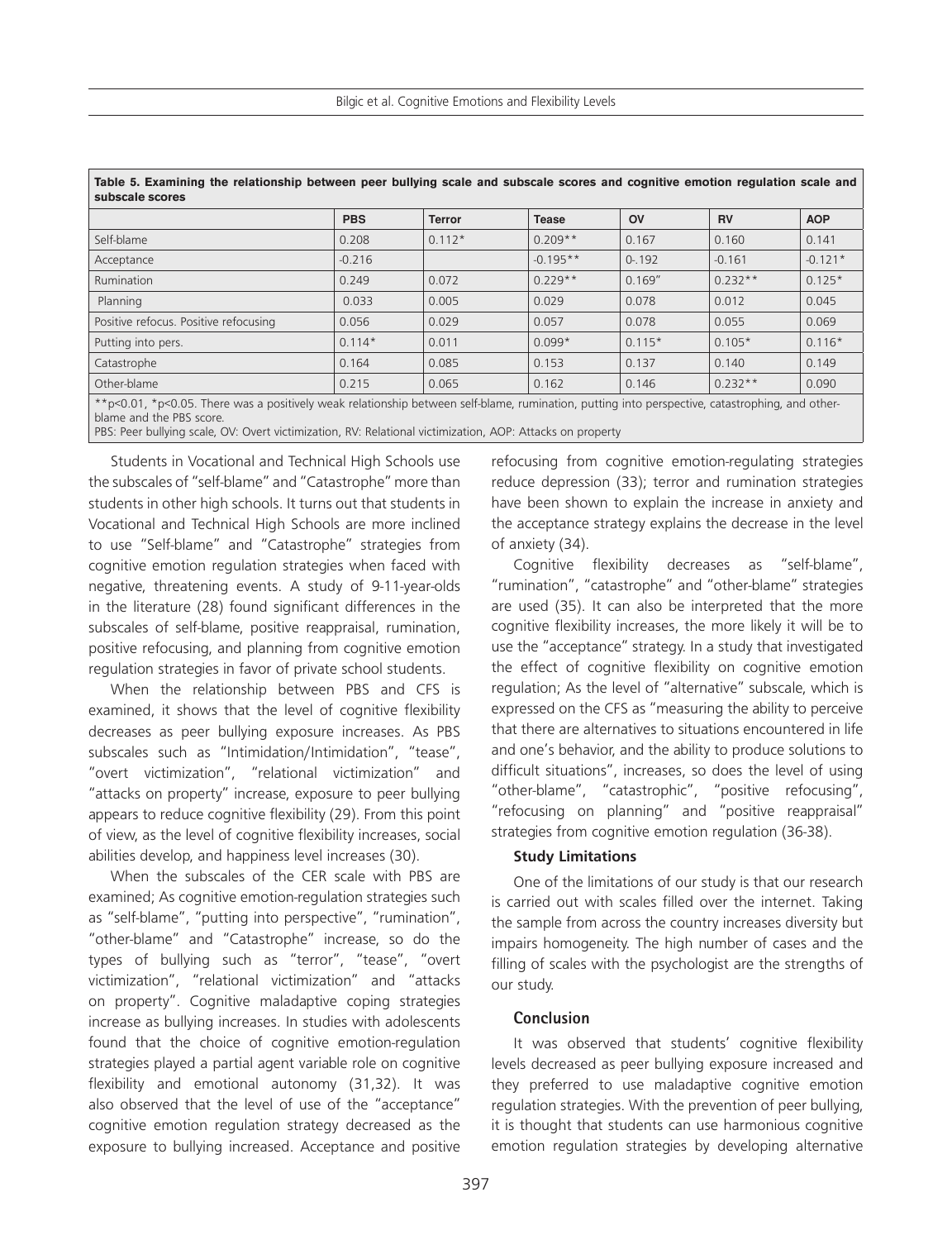Bilgic et al. Cognitive Emotions and Flexibility Levels

| rable 5. Examining the relationship between peer builying scale and subscale scores and cognitive emotion regulation scale and<br>subscale scores                           |            |               |              |           |           |            |  |  |
|-----------------------------------------------------------------------------------------------------------------------------------------------------------------------------|------------|---------------|--------------|-----------|-----------|------------|--|--|
|                                                                                                                                                                             | <b>PBS</b> | <b>Terror</b> | <b>Tease</b> | <b>OV</b> | <b>RV</b> | <b>AOP</b> |  |  |
| Self-blame                                                                                                                                                                  | 0.208      | $0.112*$      | $0.209**$    | 0.167     | 0.160     | 0.141      |  |  |
| Acceptance                                                                                                                                                                  | $-0.216$   |               | $-0.195**$   | $0 - 192$ | $-0.161$  | $-0.121*$  |  |  |
| Rumination                                                                                                                                                                  | 0.249      | 0.072         | $0.229**$    | 0.169''   | $0.232**$ | $0.125*$   |  |  |
| Planning                                                                                                                                                                    | 0.033      | 0.005         | 0.029        | 0.078     | 0.012     | 0.045      |  |  |
| Positive refocus. Positive refocusing                                                                                                                                       | 0.056      | 0.029         | 0.057        | 0.078     | 0.055     | 0.069      |  |  |
| Putting into pers.                                                                                                                                                          | $0.114*$   | 0.011         | $0.099*$     | $0.115*$  | $0.105*$  | $0.116*$   |  |  |
| Catastrophe                                                                                                                                                                 | 0.164      | 0.085         | 0.153        | 0.137     | 0.140     | 0.149      |  |  |
| Other-blame                                                                                                                                                                 | 0.215      | 0.065         | 0.162        | 0.146     | $0.232**$ | 0.090      |  |  |
| **p<0.01, *p<0.05. There was a positively weak relationship between self-blame, rumination, putting into perspective, catastrophing, and other-<br>blame and the PBS score. |            |               |              |           |           |            |  |  |

| Table 5. Examining the relationship between peer bullying scale and subscale scores and cognitive emotion regulation scale and |  |  |  |  |  |
|--------------------------------------------------------------------------------------------------------------------------------|--|--|--|--|--|
| subscale scores                                                                                                                |  |  |  |  |  |

PBS: Peer bullying scale, OV: Overt victimization, RV: Relational victimization, AOP: Attacks on property

Students in Vocational and Technical High Schools use the subscales of "self-blame" and "Catastrophe" more than students in other high schools. It turns out that students in Vocational and Technical High Schools are more inclined to use "Self-blame" and "Catastrophe" strategies from cognitive emotion regulation strategies when faced with negative, threatening events. A study of 9-11-year-olds in the literature (28) found significant differences in the subscales of self-blame, positive reappraisal, rumination, positive refocusing, and planning from cognitive emotion regulation strategies in favor of private school students.

When the relationship between PBS and CFS is examined, it shows that the level of cognitive flexibility decreases as peer bullying exposure increases. As PBS subscales such as "Intimidation/Intimidation", "tease", "overt victimization", "relational victimization" and "attacks on property" increase, exposure to peer bullying appears to reduce cognitive flexibility (29). From this point of view, as the level of cognitive flexibility increases, social abilities develop, and happiness level increases (30).

When the subscales of the CER scale with PBS are examined; As cognitive emotion-regulation strategies such as "self-blame", "putting into perspective", "rumination", "other-blame" and "Catastrophe" increase, so do the types of bullying such as "terror", "tease", "overt victimization", "relational victimization" and "attacks on property". Cognitive maladaptive coping strategies increase as bullying increases. In studies with adolescents found that the choice of cognitive emotion-regulation strategies played a partial agent variable role on cognitive flexibility and emotional autonomy (31,32). It was also observed that the level of use of the "acceptance" cognitive emotion regulation strategy decreased as the exposure to bullying increased. Acceptance and positive

refocusing from cognitive emotion-regulating strategies reduce depression (33); terror and rumination strategies have been shown to explain the increase in anxiety and the acceptance strategy explains the decrease in the level of anxiety (34).

Cognitive flexibility decreases as "self-blame", "rumination", "catastrophe" and "other-blame" strategies are used (35). It can also be interpreted that the more cognitive flexibility increases, the more likely it will be to use the "acceptance" strategy. In a study that investigated the effect of cognitive flexibility on cognitive emotion regulation; As the level of "alternative" subscale, which is expressed on the CFS as "measuring the ability to perceive that there are alternatives to situations encountered in life and one's behavior, and the ability to produce solutions to difficult situations", increases, so does the level of using "other-blame", "catastrophic", "positive refocusing", "refocusing on planning" and "positive reappraisal" strategies from cognitive emotion regulation (36-38).

## **Study Limitations**

One of the limitations of our study is that our research is carried out with scales filled over the internet. Taking the sample from across the country increases diversity but impairs homogeneity. The high number of cases and the filling of scales with the psychologist are the strengths of our study.

# **Conclusion**

It was observed that students' cognitive flexibility levels decreased as peer bullying exposure increased and they preferred to use maladaptive cognitive emotion regulation strategies. With the prevention of peer bullying, it is thought that students can use harmonious cognitive emotion regulation strategies by developing alternative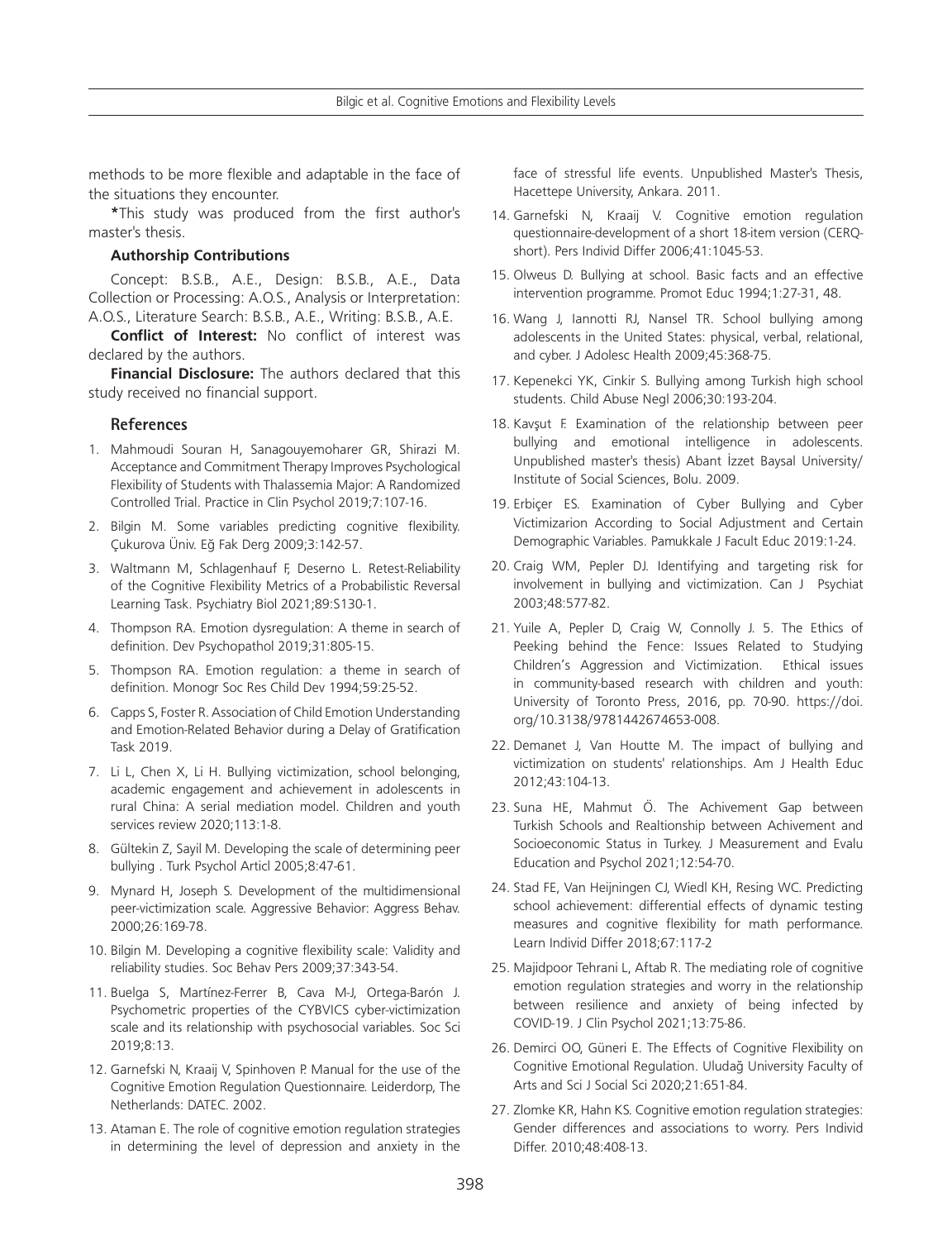methods to be more flexible and adaptable in the face of the situations they encounter.

**\***This study was produced from the first author's master's thesis.

#### **Authorship Contributions**

Concept: B.S.B., A.E., Design: B.S.B., A.E., Data Collection or Processing: A.O.S., Analysis or Interpretation: A.O.S., Literature Search: B.S.B., A.E., Writing: B.S.B., A.E.

**Conflict of Interest:** No conflict of interest was declared by the authors.

**Financial Disclosure:** The authors declared that this study received no financial support.

#### **References**

- 1. Mahmoudi Souran H, Sanagouyemoharer GR, Shirazi M. Acceptance and Commitment Therapy Improves Psychological Flexibility of Students with Thalassemia Major: A Randomized Controlled Trial. Practice in Clin Psychol 2019;7:107-16.
- 2. Bilgin M. Some variables predicting cognitive flexibility. Çukurova Üniv. Eğ Fak Derg 2009;3:142-57.
- 3. Waltmann M, Schlagenhauf F, Deserno L. Retest-Reliability of the Cognitive Flexibility Metrics of a Probabilistic Reversal Learning Task. Psychiatry Biol 2021;89:S130-1.
- 4. Thompson RA. Emotion dysregulation: A theme in search of definition. Dev Psychopathol 2019;31:805-15.
- 5. Thompson RA. Emotion regulation: a theme in search of definition. Monogr Soc Res Child Dev 1994;59:25-52.
- 6. Capps S, Foster R. Association of Child Emotion Understanding and Emotion-Related Behavior during a Delay of Gratification Task 2019.
- 7. Li L, Chen X, Li H. Bullying victimization, school belonging, academic engagement and achievement in adolescents in rural China: A serial mediation model. Children and youth services review 2020;113:1-8.
- 8. Gültekin Z, Sayil M. Developing the scale of determining peer bullying . Turk Psychol Articl 2005;8:47-61.
- 9. Mynard H, Joseph S. Development of the multidimensional peer-victimization scale. Aggressive Behavior: Aggress Behav. 2000;26:169-78.
- 10. Bilgin M. Developing a cognitive flexibility scale: Validity and reliability studies. Soc Behav Pers 2009;37:343-54.
- 11. Buelga S, Martínez-Ferrer B, Cava M-J, Ortega-Barón J. Psychometric properties of the CYBVICS cyber-victimization scale and its relationship with psychosocial variables. Soc Sci 2019;8:13.
- 12. Garnefski N, Kraaij V, Spinhoven P. Manual for the use of the Cognitive Emotion Regulation Questionnaire. Leiderdorp, The Netherlands: DATEC. 2002.
- 13. Ataman E. The role of cognitive emotion regulation strategies in determining the level of depression and anxiety in the

face of stressful life events. Unpublished Master's Thesis, Hacettepe University, Ankara. 2011.

- 14. Garnefski N, Kraaij V. Cognitive emotion regulation questionnaire-development of a short 18-item version (CERQshort). Pers Individ Differ 2006;41:1045-53.
- 15. Olweus D. Bullying at school. Basic facts and an effective intervention programme. Promot Educ 1994;1:27-31, 48.
- 16. Wang J, Iannotti RJ, Nansel TR. School bullying among adolescents in the United States: physical, verbal, relational, and cyber. J Adolesc Health 2009;45:368-75.
- 17. Kepenekci YK, Cinkir S. Bullying among Turkish high school students. Child Abuse Negl 2006;30:193-204.
- 18. Kavşut F. Examination of the relationship between peer bullying and emotional intelligence in adolescents. Unpublished master's thesis) Abant İzzet Baysal University/ Institute of Social Sciences, Bolu. 2009.
- 19. Erbiçer ES. Examination of Cyber Bullying and Cyber Victimizarion According to Social Adjustment and Certain Demographic Variables. Pamukkale J Facult Educ 2019:1-24.
- 20. Craig WM, Pepler DJ. Identifying and targeting risk for involvement in bullying and victimization. Can J Psychiat 2003;48:577-82.
- 21. Yuile A, Pepler D, Craig W, Connolly J. 5. The Ethics of Peeking behind the Fence: Issues Related to Studying Children's Aggression and Victimization. Ethical issues in community-based research with children and youth: University of Toronto Press, 2016, pp. 70-90. https://doi. org/10.3138/9781442674653-008.
- 22. Demanet J, Van Houtte M. The impact of bullying and victimization on students' relationships. Am J Health Educ 2012;43:104-13.
- 23. Suna HE, Mahmut Ö. The Achivement Gap between Turkish Schools and Realtionship between Achivement and Socioeconomic Status in Turkey. J Measurement and Evalu Education and Psychol 2021;12:54-70.
- 24. Stad FE, Van Heijningen CJ, Wiedl KH, Resing WC. Predicting school achievement: differential effects of dynamic testing measures and cognitive flexibility for math performance. Learn Individ Differ 2018;67:117-2
- 25. Majidpoor Tehrani L, Aftab R. The mediating role of cognitive emotion regulation strategies and worry in the relationship between resilience and anxiety of being infected by COVID-19. J Clin Psychol 2021;13:75-86.
- 26. Demirci OO, Güneri E. The Effects of Cognitive Flexibility on Cognitive Emotional Regulation. Uludağ University Faculty of Arts and Sci J Social Sci 2020;21:651-84.
- 27. Zlomke KR, Hahn KS. Cognitive emotion regulation strategies: Gender differences and associations to worry. Pers Individ Differ. 2010;48:408-13.